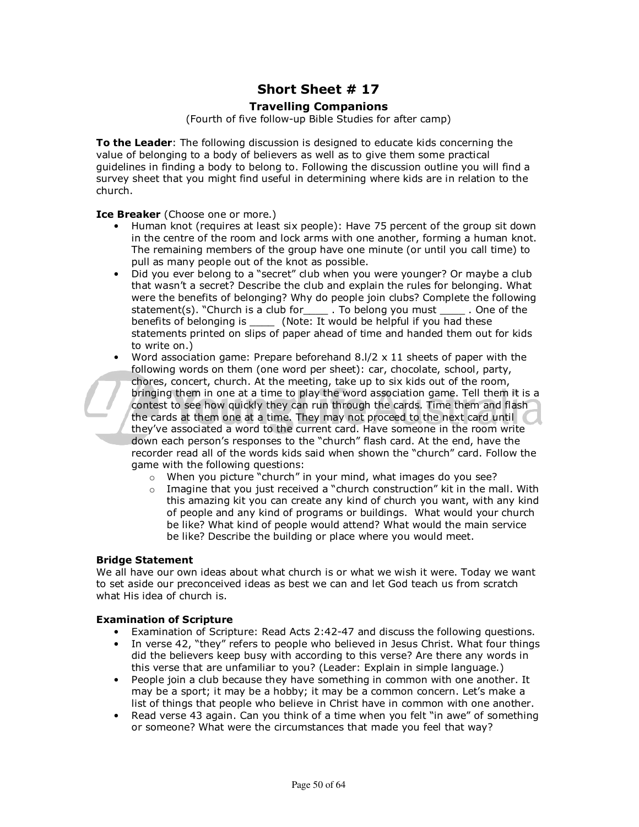# **Short Sheet # 17**

### **Travelling Companions**

(Fourth of five follow-up Bible Studies for after camp)

**To the Leader**: The following discussion is designed to educate kids concerning the value of belonging to a body of believers as well as to give them some practical guidelines in finding a body to belong to. Following the discussion outline you will find a survey sheet that you might find useful in determining where kids are in relation to the church.

#### **Ice Breaker** (Choose one or more.)

- Human knot (requires at least six people): Have 75 percent of the group sit down in the centre of the room and lock arms with one another, forming a human knot. The remaining members of the group have one minute (or until you call time) to pull as many people out of the knot as possible.
- Did you ever belong to a "secret" club when you were younger? Or maybe a club that wasn't a secret? Describe the club and explain the rules for belonging. What were the benefits of belonging? Why do people join clubs? Complete the following statement(s). "Church is a club for \_\_\_\_\_ . To belong you must \_\_\_\_\_ . One of the benefits of belonging is \_\_\_\_ (Note: It would be helpful if you had these statements printed on slips of paper ahead of time and handed them out for kids to write on.)
- Word association game: Prepare beforehand  $8.1/2 \times 11$  sheets of paper with the following words on them (one word per sheet): car, chocolate, school, party, chores, concert, church. At the meeting, take up to six kids out of the room, bringing them in one at a time to play the word association game. Tell them it is a contest to see how quickly they can run through the cards. Time them and flash the cards at them one at a time. They may not proceed to the next card until they've associated a word to the current card. Have someone in the room write down each person's responses to the "church" flash card. At the end, have the recorder read all of the words kids said when shown the "church" card. Follow the game with the following questions:
	- o When you picture "church" in your mind, what images do you see?
	- $\circ$  Imagine that you just received a "church construction" kit in the mall. With this amazing kit you can create any kind of church you want, with any kind of people and any kind of programs or buildings. What would your church be like? What kind of people would attend? What would the main service be like? Describe the building or place where you would meet.

#### **Bridge Statement**

We all have our own ideas about what church is or what we wish it were. Today we want to set aside our preconceived ideas as best we can and let God teach us from scratch what His idea of church is.

#### **Examination of Scripture**

- Examination of Scripture: Read Acts 2:42-47 and discuss the following questions.
- In verse 42, "they" refers to people who believed in Jesus Christ. What four things did the believers keep busy with according to this verse? Are there any words in this verse that are unfamiliar to you? (Leader: Explain in simple language.)
- People join a club because they have something in common with one another. It may be a sport; it may be a hobby; it may be a common concern. Let's make a list of things that people who believe in Christ have in common with one another.
- Read verse 43 again. Can you think of a time when you felt "in awe" of something or someone? What were the circumstances that made you feel that way?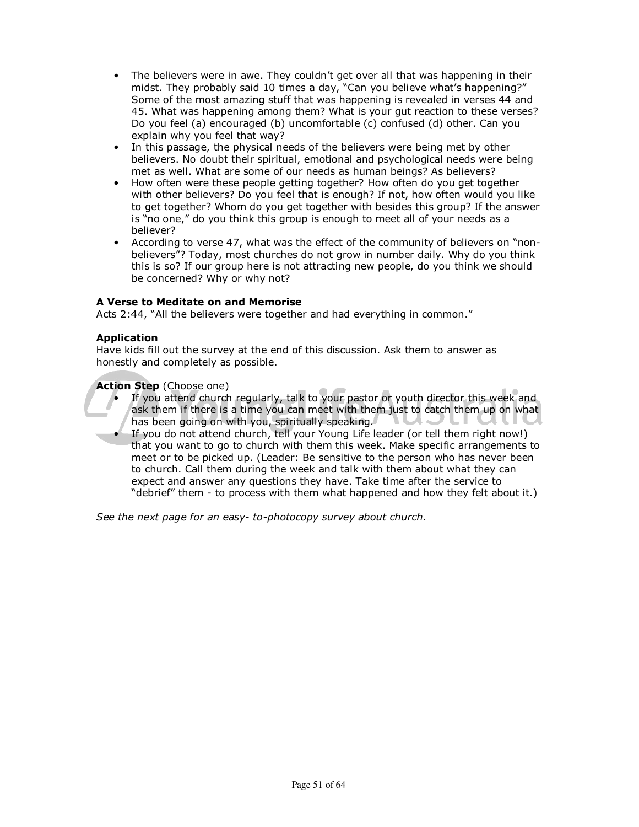- The believers were in awe. They couldn't get over all that was happening in their midst. They probably said 10 times a day, "Can you believe what's happening?" Some of the most amazing stuff that was happening is revealed in verses 44 and 45. What was happening among them? What is your gut reaction to these verses? Do you feel (a) encouraged (b) uncomfortable (c) confused (d) other. Can you explain why you feel that way?
- In this passage, the physical needs of the believers were being met by other believers. No doubt their spiritual, emotional and psychological needs were being met as well. What are some of our needs as human beings? As believers?
- How often were these people getting together? How often do you get together with other believers? Do you feel that is enough? If not, how often would you like to get together? Whom do you get together with besides this group? If the answer is "no one," do you think this group is enough to meet all of your needs as a believer?
- According to verse 47, what was the effect of the community of believers on "nonbelievers"? Today, most churches do not grow in number daily. Why do you think this is so? If our group here is not attracting new people, do you think we should be concerned? Why or why not?

### **A Verse to Meditate on and Memorise**

Acts 2:44, "All the believers were together and had everything in common."

#### **Application**

Have kids fill out the survey at the end of this discussion. Ask them to answer as honestly and completely as possible.

#### **Action Step** (Choose one)

- If you attend church regularly, talk to your pastor or youth director this week and ask them if there is a time you can meet with them just to catch them up on what has been going on with you, spiritually speaking.
- If you do not attend church, tell your Young Life leader (or tell them right now!) that you want to go to church with them this week. Make specific arrangements to meet or to be picked up. (Leader: Be sensitive to the person who has never been to church. Call them during the week and talk with them about what they can expect and answer any questions they have. Take time after the service to "debrief" them - to process with them what happened and how they felt about it.)

*See the next page for an easy- to-photocopy survey about church.*